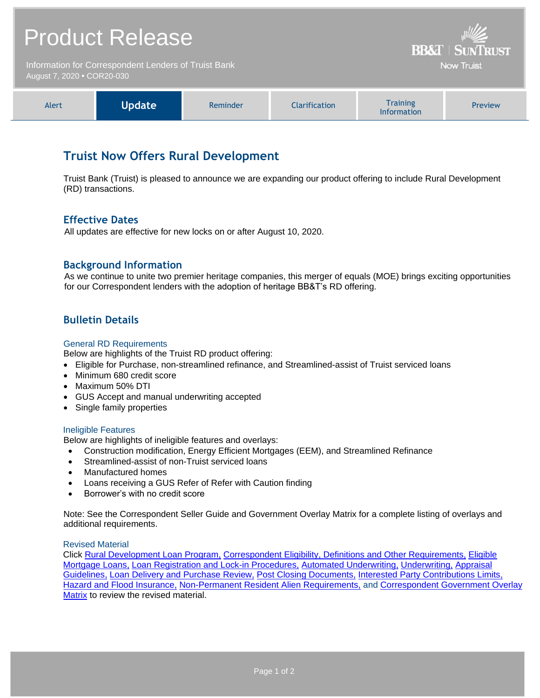| <b>Product Release</b>                                                             |               |          |                      | <b>BB&amp;T   SUNTRUST</b>     |         |
|------------------------------------------------------------------------------------|---------------|----------|----------------------|--------------------------------|---------|
| Information for Correspondent Lenders of Truist Bank<br>August 7, 2020 • COR20-030 |               |          |                      | <b>Now Truist</b>              |         |
| Alert                                                                              | <b>Update</b> | Reminder | <b>Clarification</b> | <b>Training</b><br>Information | Preview |

# **Truist Now Offers Rural Development**

Truist Bank (Truist) is pleased to announce we are expanding our product offering to include Rural Development (RD) transactions.

## **Effective Dates**

All updates are effective for new locks on or after August 10, 2020.

## **Background Information**

As we continue to unite two premier heritage companies, this merger of equals (MOE) brings exciting opportunities for our Correspondent lenders with the adoption of heritage BB&T's RD offering.

## **Bulletin Details**

#### General RD Requirements

Below are highlights of the Truist RD product offering:

- Eligible for Purchase, non-streamlined refinance, and Streamlined-assist of Truist serviced loans
- Minimum 680 credit score
- Maximum 50% DTI
- GUS Accept and manual underwriting accepted
- Single family properties

#### Ineligible Features

Below are highlights of ineligible features and overlays:

- Construction modification, Energy Efficient Mortgages (EEM), and Streamlined Refinance
- Streamlined-assist of non-Truist serviced loans
- Manufactured homes
- Loans receiving a GUS Refer of Refer with Caution finding
- Borrower's with no credit score

Note: See the Correspondent Seller Guide and Government Overlay Matrix for a complete listing of overlays and additional requirements.

#### Revised Material

Click [Rural Development Loan Program,](https://www.truistsellerguide.com/manual/cor/products/cRD.pdf) [Correspondent Eligibility, Definitions and Other Requirements,](https://www.truistsellerguide.com/manual/cor/general/1.00CorrAgreement.pdf) [Eligible](https://www.truistsellerguide.com/manual/cor/general/1.02Eligmtg.pdf)  [Mortgage Loans,](https://www.truistsellerguide.com/manual/cor/general/1.02Eligmtg.pdf) [Loan Registration and Lock-in Procedures,](https://www.truistsellerguide.com/manual/cor/general/1.03Lockin.pdf) [Automated Underwriting,](https://www.truistsellerguide.com/manual/cor/general/1.04AUS.pdf) [Underwriting,](https://www.truistsellerguide.com/manual/cor/general/1.05Underwriting.pdf) [Appraisal](https://www.truistsellerguide.com/manual/cor/general/1.07Appraisals.pdf)  [Guidelines,](https://www.truistsellerguide.com/manual/cor/general/1.07Appraisals.pdf) [Loan Delivery and Purchase Review,](https://www.truistsellerguide.com/manual/cor/general/1.08loandel.pdf) [Post Closing Documents,](https://www.truistsellerguide.com/manual/cor/general/1.11PostCls.pdf) [Interested Party Contributions Limits,](https://www.truistsellerguide.com/manual/cor/general/1.13InterestedPartyContributionsLimits.pdf) [Hazard and Flood Insurance,](https://www.truistsellerguide.com/manual/cor/general/1.14Hazard.pdf) [Non-Permanent Resident Alien Requirements,](https://www.truistsellerguide.com/manual/cor/general/1.24nonpermanentresidentalienrequirements.pdf) and Correspondent [Government Overlay](https://www.truistsellerguide.com/manual/cor/products/CGovtCreditOverlays.pdf)  [Matrix](https://www.truistsellerguide.com/manual/cor/products/CGovtCreditOverlays.pdf) to review the revised material.